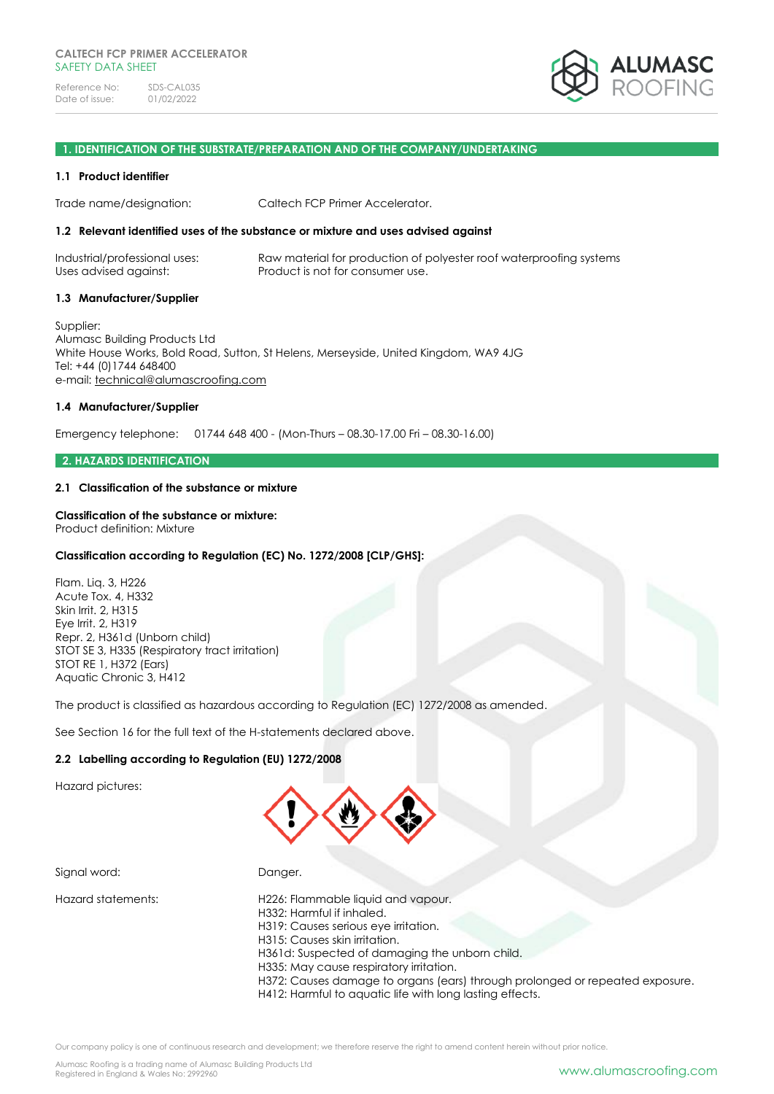

#### **1. IDENTIFICATION OF THE SUBSTRATE/PREPARATION AND OF THE COMPANY/UNDERTAKING**

#### **1.1 Product identifier**

Trade name/designation: Caltech FCP Primer Accelerator.

#### **1.2 Relevant identified uses of the substance or mixture and uses advised against**

Industrial/professional uses: Raw material for production of polyester roof waterproofing systems Uses advised against: Product is not for consumer use.

#### **1.3 Manufacturer/Supplier**

Supplier: Alumasc Building Products Ltd White House Works, Bold Road, Sutton, St Helens, Merseyside, United Kingdom, WA9 4JG Tel: +44 (0)1744 648400 e-mail: [technical@alumascroofing.com](mailto:technical@alumascroofing.com)

#### **1.4 Manufacturer/Supplier**

Emergency telephone: 01744 648 400 - (Mon-Thurs – 08.30-17.00 Fri – 08.30-16.00)

#### **2. HAZARDS IDENTIFICATION**

#### **2.1 Classification of the substance or mixture**

#### **Classification of the substance or mixture:**

Product definition: Mixture

#### **Classification according to Regulation (EC) No. 1272/2008 [CLP/GHS]:**

Flam. Liq. 3, H226 Acute Tox. 4, H332 Skin Irrit. 2, H315 Eye Irrit. 2, H319 Repr. 2, H361d (Unborn child) STOT SE 3, H335 (Respiratory tract irritation) STOT RE 1, H372 (Ears) Aquatic Chronic 3, H412

The product is classified as hazardous according to Regulation (EC) 1272/2008 as amended.

See Section 16 for the full text of the H-statements declared above.

#### **2.2 Labelling according to Regulation (EU) 1272/2008**

Hazard pictures:



Signal word: Danger. Hazard statements: H226: Flammable liquid and vapour. H332: Harmful if inhaled. H319: Causes serious eye irritation. H315: Causes skin irritation. H361d: Suspected of damaging the unborn child. H335: May cause respiratory irritation. H372: Causes damage to organs (ears) through prolonged or repeated exposure. H412: Harmful to aquatic life with long lasting effects.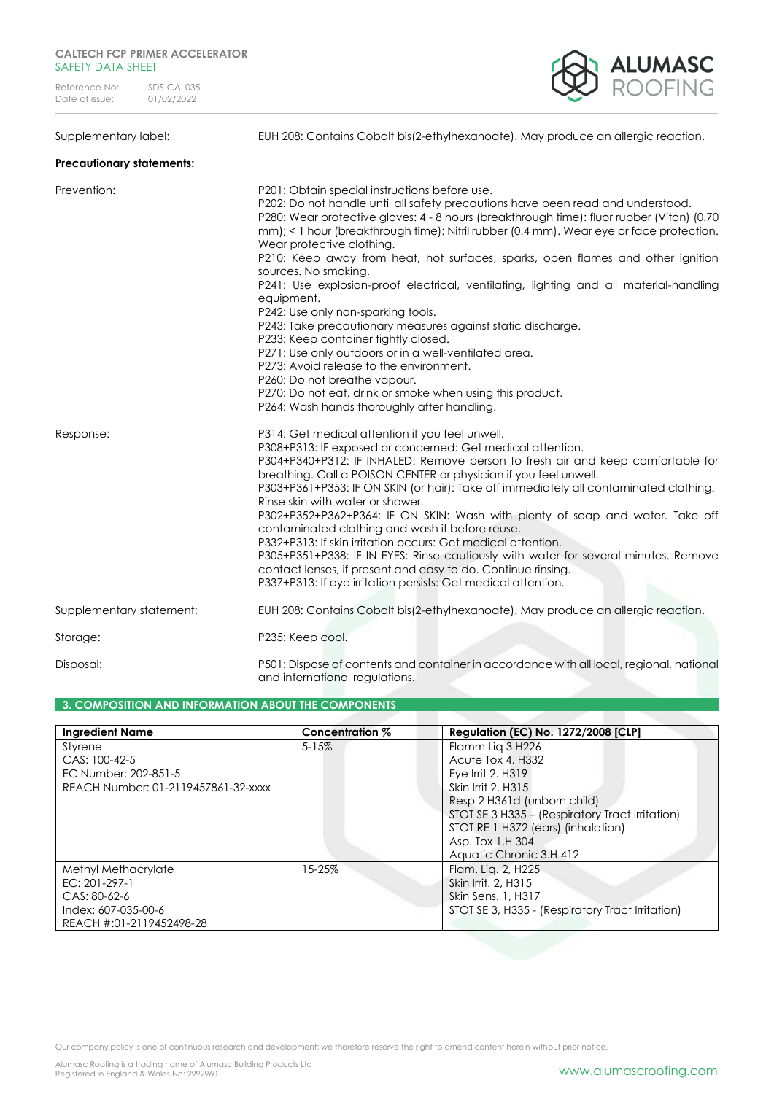

Supplementary label: EUH 208: Contains Cobalt bis(2-ethylhexanoate). May produce an allergic reaction.

#### **Precautionary statements:**

| Prevention:              | P201: Obtain special instructions before use.<br>P202: Do not handle until all safety precautions have been read and understood.<br>P280: Wear protective gloves: 4 - 8 hours (breakthrough time): fluor rubber (Viton) (0.70<br>mm); < 1 hour (breakthrough time): Nitril rubber (0.4 mm). Wear eye or face protection.<br>Wear protective clothing.<br>P210: Keep away from heat, hot surfaces, sparks, open flames and other ignition<br>sources. No smoking.<br>P241: Use explosion-proof electrical, ventilating, lighting and all material-handling<br>equipment.<br>P242: Use only non-sparking tools.<br>P243: Take precautionary measures against static discharge.<br>P233: Keep container tightly closed.<br>P271: Use only outdoors or in a well-ventilated area.<br>P273: Avoid release to the environment.<br>P260: Do not breathe vapour.<br>P270: Do not eat, drink or smoke when using this product.<br>P264: Wash hands thoroughly after handling. |
|--------------------------|----------------------------------------------------------------------------------------------------------------------------------------------------------------------------------------------------------------------------------------------------------------------------------------------------------------------------------------------------------------------------------------------------------------------------------------------------------------------------------------------------------------------------------------------------------------------------------------------------------------------------------------------------------------------------------------------------------------------------------------------------------------------------------------------------------------------------------------------------------------------------------------------------------------------------------------------------------------------|
| Response:                | P314: Get medical attention if you feel unwell.<br>P308+P313: IF exposed or concerned: Get medical attention.<br>P304+P340+P312: IF INHALED: Remove person to fresh air and keep comfortable for<br>breathing. Call a POISON CENTER or physician if you feel unwell.<br>P303+P361+P353: IF ON SKIN (or hair): Take off immediately all contaminated clothing.<br>Rinse skin with water or shower.<br>P302+P352+P362+P364: IF ON SKIN: Wash with plenty of soap and water. Take off<br>contaminated clothing and wash it before reuse.<br>P332+P313: If skin irritation occurs: Get medical attention.<br>P305+P351+P338: IF IN EYES: Rinse cautiously with water for several minutes. Remove<br>contact lenses, if present and easy to do. Continue rinsing.<br>P337+P313: If eye irritation persists: Get medical attention.                                                                                                                                        |
| Supplementary statement: | EUH 208: Contains Cobalt bis(2-ethylhexanoate). May produce an allergic reaction.                                                                                                                                                                                                                                                                                                                                                                                                                                                                                                                                                                                                                                                                                                                                                                                                                                                                                    |
| Storage:                 | P235: Keep cool.                                                                                                                                                                                                                                                                                                                                                                                                                                                                                                                                                                                                                                                                                                                                                                                                                                                                                                                                                     |
| Disposal:                | P501: Dispose of contents and container in accordance with all local, regional, national<br>and international regulations.                                                                                                                                                                                                                                                                                                                                                                                                                                                                                                                                                                                                                                                                                                                                                                                                                                           |

#### **3. COMPOSITION AND INFORMATION ABOUT THE COMPONENTS**

| <b>Ingredient Name</b>              | Concentration % | <b>Regulation (EC) No. 1272/2008 [CLP]</b>       |
|-------------------------------------|-----------------|--------------------------------------------------|
| Styrene                             | $5 - 15%$       | Flamm Lig 3 H226                                 |
| CAS: 100-42-5                       |                 | Acute Tox 4. H332                                |
| EC Number: 202-851-5                |                 | Eye Irrit 2, H319                                |
| REACH Number: 01-2119457861-32-xxxx |                 | Skin Irrit 2, H315                               |
|                                     |                 | Resp 2 H361d (unborn child)                      |
|                                     |                 | STOT SE 3 H335 - (Respiratory Tract Irritation)  |
|                                     |                 | STOT RE 1 H372 (ears) (inhalation)               |
|                                     |                 | Asp. Tox 1.H 304                                 |
|                                     |                 | Aquatic Chronic 3.H 412                          |
| Methyl Methacrylate                 | 15-25%          | Flam. Lig. 2, H225                               |
| $EC: 201-297-1$                     |                 | Skin Irrit. 2, H315                              |
| $CAS: 80-62-6$                      |                 | Skin Sens. 1, H317                               |
| Index: 607-035-00-6                 |                 | STOT SE 3, H335 - (Respiratory Tract Irritation) |
| REACH #:01-2119452498-28            |                 |                                                  |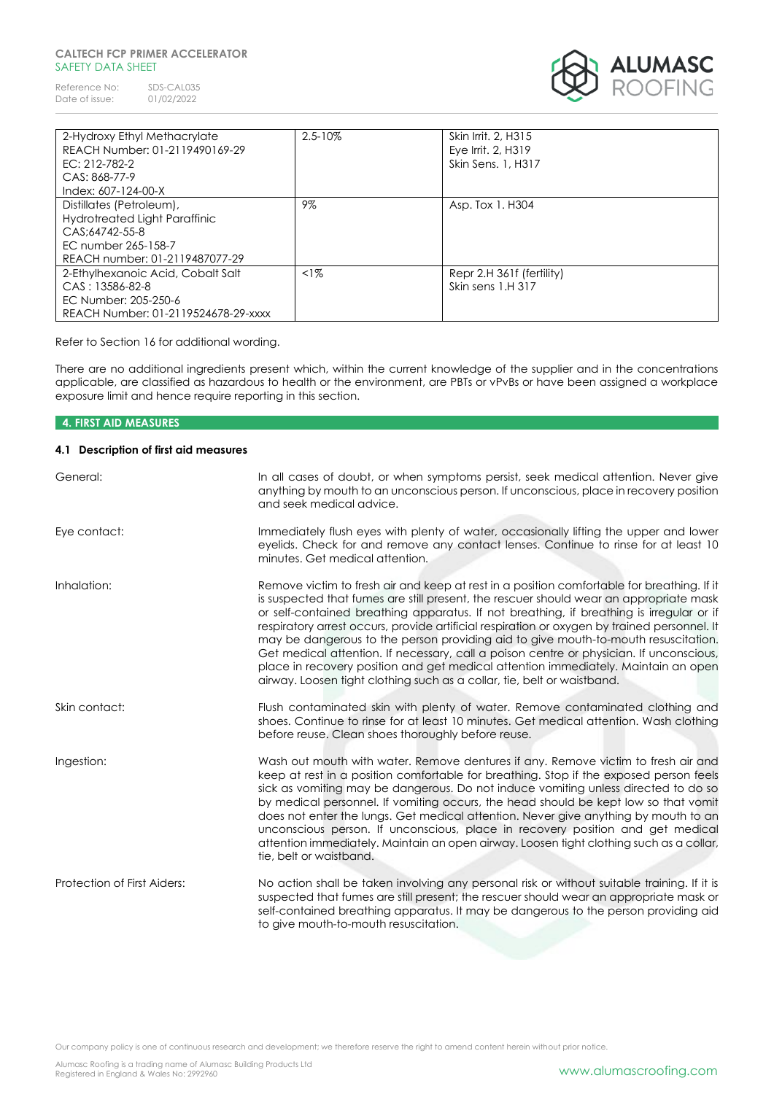#### **CALTECH FCP PRIMER ACCELERATOR**  SAFFTY DATA SHFFT

Reference No: SDS-CAL035<br>Date of issue: 01/02/2022 Date of issue:



| 2-Hydroxy Ethyl Methacrylate        | $2.5 - 10\%$ | Skin Irrit, 2, H315       |
|-------------------------------------|--------------|---------------------------|
| REACH Number: 01-2119490169-29      |              | Eye Irrit, 2, H319        |
| $EC: 212 - 782 - 2$                 |              | Skin Sens. 1, H317        |
| CAS: 868-77-9                       |              |                           |
| Index: 607-124-00-X                 |              |                           |
| Distillates (Petroleum),            | 9%           | Asp. Tox 1. H304          |
| Hydrotreated Light Paraffinic       |              |                           |
| CAS:64742-55-8                      |              |                           |
| EC number 265-158-7                 |              |                           |
| REACH number: 01-2119487077-29      |              |                           |
| 2-Ethylhexanoic Acid, Cobalt Salt   | $<1\%$       | Repr 2.H 361f (fertility) |
| $CAS: 13586-82-8$                   |              | Skin sens 1.H 317         |
| EC Number: 205-250-6                |              |                           |
| REACH Number: 01-2119524678-29-xxxx |              |                           |

Refer to Section 16 for additional wording.

There are no additional ingredients present which, within the current knowledge of the supplier and in the concentrations applicable, are classified as hazardous to health or the environment, are PBTs or vPvBs or have been assigned a workplace exposure limit and hence require reporting in this section.

## **4. FIRST AID MEASURES 4.1 Description of first aid measures** General: In all cases of doubt, or when symptoms persist, seek medical attention. Never give anything by mouth to an unconscious person. If unconscious, place in recovery position and seek medical advice.

Eye contact: Immediately flush eyes with plenty of water, occasionally lifting the upper and lower eyelids. Check for and remove any contact lenses. Continue to rinse for at least 10 minutes. Get medical attention.

Inhalation: Remove victim to fresh air and keep at rest in a position comfortable for breathing. If it is suspected that fumes are still present, the rescuer should wear an appropriate mask or self-contained breathing apparatus. If not breathing, if breathing is irregular or if respiratory arrest occurs, provide artificial respiration or oxygen by trained personnel. It may be dangerous to the person providing aid to give mouth-to-mouth resuscitation. Get medical attention. If necessary, call a poison centre or physician. If unconscious, place in recovery position and get medical attention immediately. Maintain an open airway. Loosen tight clothing such as a collar, tie, belt or waistband.

Skin contact: Flush contaminated skin with plenty of water. Remove contaminated clothing and shoes. Continue to rinse for at least 10 minutes. Get medical attention. Wash clothing before reuse. Clean shoes thoroughly before reuse.

Ingestion: Wash out mouth with water. Remove dentures if any. Remove victim to fresh air and keep at rest in a position comfortable for breathing. Stop if the exposed person feels sick as vomiting may be dangerous. Do not induce vomiting unless directed to do so by medical personnel. If vomiting occurs, the head should be kept low so that vomit does not enter the lungs. Get medical attention. Never give anything by mouth to an unconscious person. If unconscious, place in recovery position and get medical attention immediately. Maintain an open airway. Loosen tight clothing such as a collar, tie, belt or waistband.

Protection of First Aiders: No action shall be taken involving any personal risk or without suitable training. If it is suspected that fumes are still present; the rescuer should wear an appropriate mask or self-contained breathing apparatus. It may be dangerous to the person providing aid to give mouth-to-mouth resuscitation.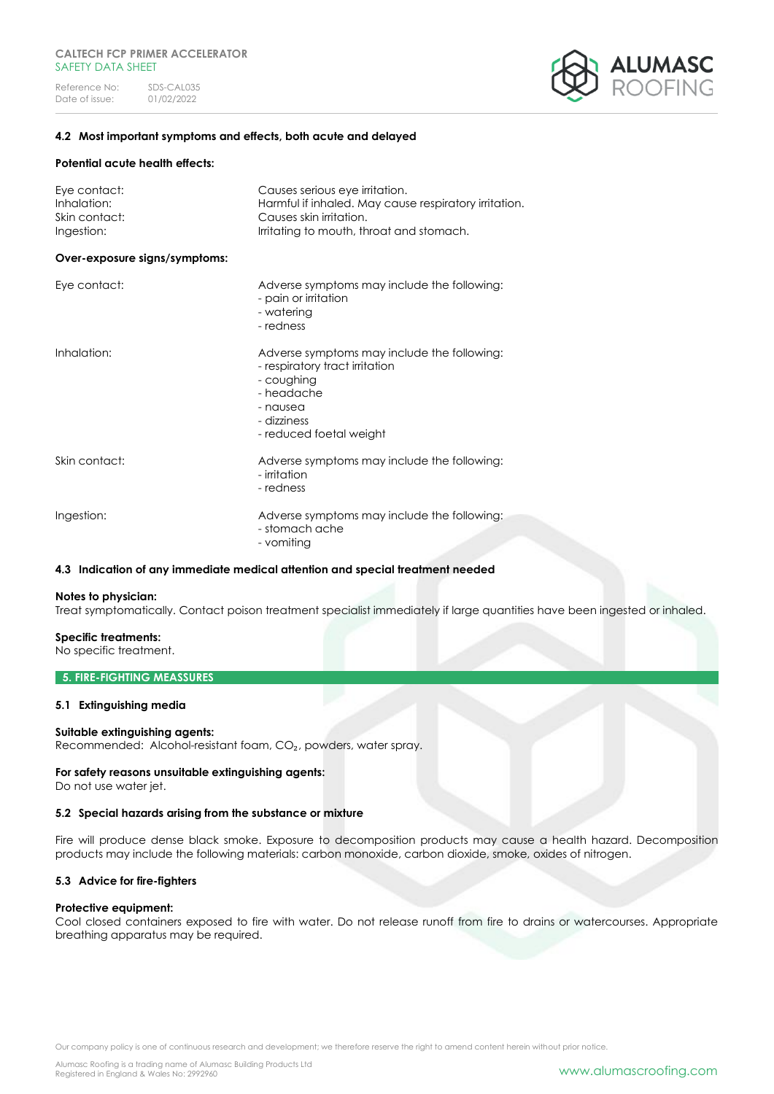

#### **4.2 Most important symptoms and effects, both acute and delayed**

#### **Potential acute health effects:**

| Eye contact:<br>Inhalation:<br>Skin contact:<br>Ingestion: | Causes serious eye irritation.<br>Harmful if inhaled. May cause respiratory irritation.<br>Causes skin irritation.<br>Irritating to mouth, throat and stomach.  |
|------------------------------------------------------------|-----------------------------------------------------------------------------------------------------------------------------------------------------------------|
| Over-exposure signs/symptoms:                              |                                                                                                                                                                 |
| Eye contact:                                               | Adverse symptoms may include the following:<br>- pain or irritation<br>- watering<br>- redness                                                                  |
| Inhalation:                                                | Adverse symptoms may include the following:<br>- respiratory tract irritation<br>- coughing<br>- headache<br>- nausea<br>- dizziness<br>- reduced foetal weight |
| Skin contact:                                              | Adverse symptoms may include the following:<br>- irritation<br>- redness                                                                                        |
| Ingestion:                                                 | Adverse symptoms may include the following:<br>- stomach ache<br>- vomiting                                                                                     |

#### **4.3 Indication of any immediate medical attention and special treatment needed**

#### **Notes to physician:**

Treat symptomatically. Contact poison treatment specialist immediately if large quantities have been ingested or inhaled.

#### **Specific treatments:**

No specific treatment.

#### **5. FIRE-FIGHTING MEASSURES**

#### **5.1 Extinguishing media**

#### **Suitable extinguishing agents:**

Recommended: Alcohol-resistant foam, CO₂, powders, water spray.

#### **For safety reasons unsuitable extinguishing agents:**

Do not use water jet.

#### **5.2 Special hazards arising from the substance or mixture**

Fire will produce dense black smoke. Exposure to decomposition products may cause a health hazard. Decomposition products may include the following materials: carbon monoxide, carbon dioxide, smoke, oxides of nitrogen.

#### **5.3 Advice for fire-fighters**

#### **Protective equipment:**

Cool closed containers exposed to fire with water. Do not release runoff from fire to drains or watercourses. Appropriate breathing apparatus may be required.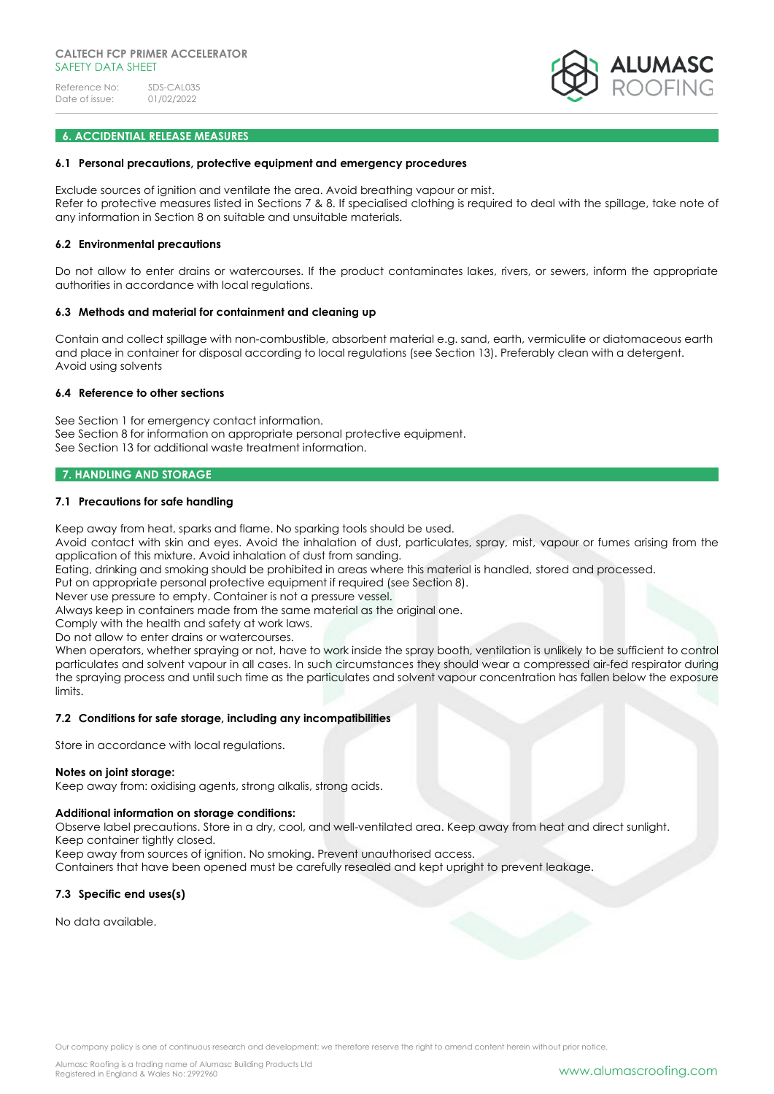

#### **6. ACCIDENTIAL RELEASE MEASURES**

#### **6.1 Personal precautions, protective equipment and emergency procedures**

Exclude sources of ignition and ventilate the area. Avoid breathing vapour or mist. Refer to protective measures listed in Sections 7 & 8. If specialised clothing is required to deal with the spillage, take note of any information in Section 8 on suitable and unsuitable materials.

#### **6.2 Environmental precautions**

Do not allow to enter drains or watercourses. If the product contaminates lakes, rivers, or sewers, inform the appropriate authorities in accordance with local regulations.

#### **6.3 Methods and material for containment and cleaning up**

Contain and collect spillage with non-combustible, absorbent material e.g. sand, earth, vermiculite or diatomaceous earth and place in container for disposal according to local regulations (see Section 13). Preferably clean with a detergent. Avoid using solvents

#### **6.4 Reference to other sections**

See Section 1 for emergency contact information. See Section 8 for information on appropriate personal protective equipment. See Section 13 for additional waste treatment information.

#### **7. HANDLING AND STORAGE**

#### **7.1 Precautions for safe handling**

Keep away from heat, sparks and flame. No sparking tools should be used.

Avoid contact with skin and eyes. Avoid the inhalation of dust, particulates, spray, mist, vapour or fumes arising from the application of this mixture. Avoid inhalation of dust from sanding.

Eating, drinking and smoking should be prohibited in areas where this material is handled, stored and processed.

Put on appropriate personal protective equipment if required (see Section 8).

Never use pressure to empty. Container is not a pressure vessel.

Always keep in containers made from the same material as the original one.

Comply with the health and safety at work laws.

Do not allow to enter drains or watercourses.

When operators, whether spraying or not, have to work inside the spray booth, ventilation is unlikely to be sufficient to control particulates and solvent vapour in all cases. In such circumstances they should wear a compressed air-fed respirator during the spraying process and until such time as the particulates and solvent vapour concentration has fallen below the exposure limits.

#### **7.2 Conditions for safe storage, including any incompatibilities**

Store in accordance with local regulations.

#### **Notes on joint storage:**

Keep away from: oxidising agents, strong alkalis, strong acids.

#### **Additional information on storage conditions:**

Observe label precautions. Store in a dry, cool, and well-ventilated area. Keep away from heat and direct sunlight.

Keep container tightly closed.

Keep away from sources of ignition. No smoking. Prevent unauthorised access.

Containers that have been opened must be carefully resealed and kept upright to prevent leakage.

#### **7.3 Specific end uses(s)**

No data available.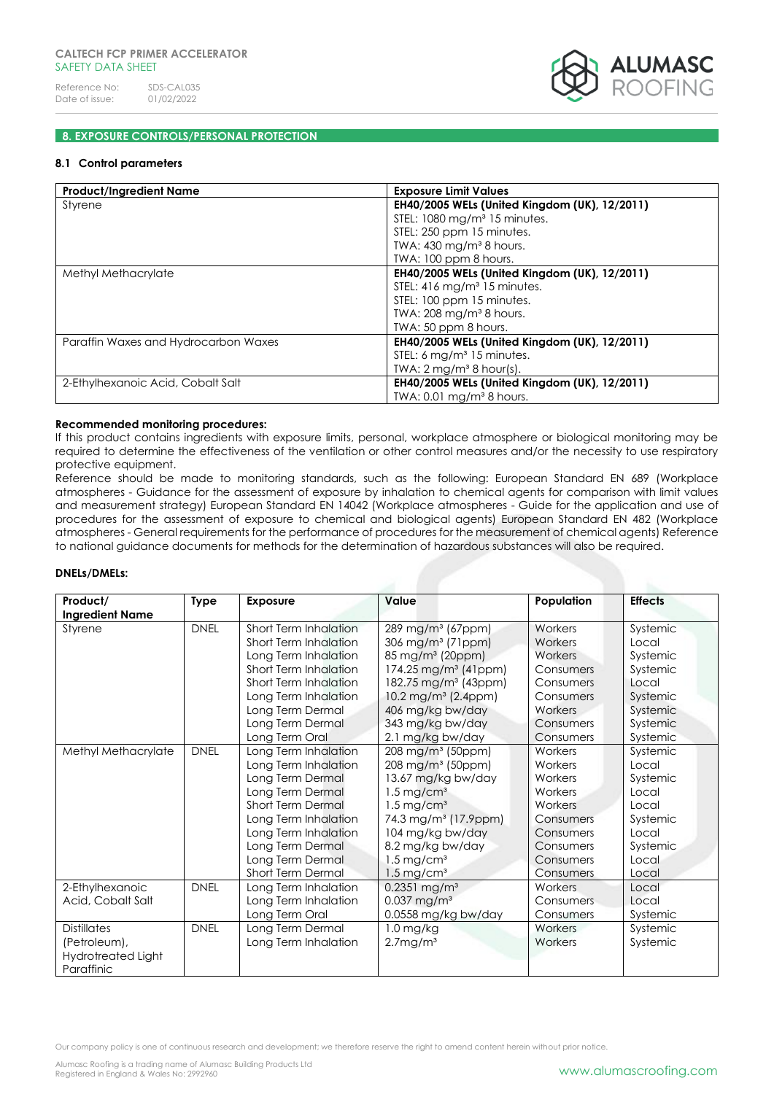

#### **8. EXPOSURE CONTROLS/PERSONAL PROTECTION**

#### **8.1 Control parameters**

| <b>Product/Ingredient Name</b>       | <b>Exposure Limit Values</b>                  |
|--------------------------------------|-----------------------------------------------|
| Styrene                              | EH40/2005 WELs (United Kingdom (UK), 12/2011) |
|                                      | STEL: $1080 \,\mathrm{mg/m^3}$ 15 minutes.    |
|                                      | STEL: 250 ppm 15 minutes.                     |
|                                      | TWA: $430$ mg/m <sup>3</sup> 8 hours.         |
|                                      | TWA: 100 ppm 8 hours.                         |
| Methyl Methacrylate                  | EH40/2005 WELs (United Kingdom (UK), 12/2011) |
|                                      | STEL: 416 mg/m <sup>3</sup> 15 minutes.       |
|                                      | STEL: 100 ppm 15 minutes.                     |
|                                      | TWA: $208 \text{ mg/m}^3$ 8 hours.            |
|                                      | TWA: 50 ppm 8 hours.                          |
| Paraffin Waxes and Hydrocarbon Waxes | EH40/2005 WELs (United Kingdom (UK), 12/2011) |
|                                      | STEL: 6 mg/m <sup>3</sup> 15 minutes.         |
|                                      | TWA: $2 \text{ mg/m}^3$ 8 hour(s).            |
| 2-Ethylhexanoic Acid, Cobalt Salt    | EH40/2005 WELs (United Kingdom (UK), 12/2011) |
|                                      | TWA: $0.01$ mg/m <sup>3</sup> 8 hours.        |

#### **Recommended monitoring procedures:**

If this product contains ingredients with exposure limits, personal, workplace atmosphere or biological monitoring may be required to determine the effectiveness of the ventilation or other control measures and/or the necessity to use respiratory protective equipment.

Reference should be made to monitoring standards, such as the following: European Standard EN 689 (Workplace atmospheres - Guidance for the assessment of exposure by inhalation to chemical agents for comparison with limit values and measurement strategy) European Standard EN 14042 (Workplace atmospheres - Guide for the application and use of procedures for the assessment of exposure to chemical and biological agents) European Standard EN 482 (Workplace atmospheres - General requirements for the performance of procedures for the measurement of chemical agents) Reference to national guidance documents for methods for the determination of hazardous substances will also be required.

#### **DNELs/DMELs:**

| Product/                                                               | <b>Type</b> | <b>Exposure</b>                                                                                                                                                                                                                                 | Value                                                                                                                                                                                                                                                                                                | Population                                                                                                                        | <b>Effects</b>                                                                                                 |
|------------------------------------------------------------------------|-------------|-------------------------------------------------------------------------------------------------------------------------------------------------------------------------------------------------------------------------------------------------|------------------------------------------------------------------------------------------------------------------------------------------------------------------------------------------------------------------------------------------------------------------------------------------------------|-----------------------------------------------------------------------------------------------------------------------------------|----------------------------------------------------------------------------------------------------------------|
| <b>Ingredient Name</b><br>Styrene                                      | <b>DNEL</b> | Short Term Inhalation<br>Short Term Inhalation<br>Long Term Inhalation<br>Short Term Inhalation<br>Short Term Inhalation<br>Long Term Inhalation<br>Long Term Dermal<br>Long Term Dermal                                                        | 289 mg/m <sup>3</sup> (67ppm)<br>306 mg/m <sup>3</sup> (71ppm)<br>85 mg/m <sup>3</sup> (20ppm)<br>$174.25$ mg/m <sup>3</sup> (41ppm)<br>182.75 mg/m <sup>3</sup> (43ppm)<br>10.2 mg/m <sup>3</sup> (2.4ppm)<br>406 mg/kg bw/day<br>343 mg/kg bw/day                                                  | Workers<br>Workers<br>Workers<br>Consumers<br>Consumers<br>Consumers<br>Workers<br>Consumers                                      | Systemic<br>Local<br>Systemic<br>Systemic<br>Local<br>Systemic<br>Systemic<br>Systemic                         |
| Methyl Methacrylate                                                    | <b>DNEL</b> | Long Term Oral<br>Long Term Inhalation<br>Long Term Inhalation<br>Long Term Dermal<br>Long Term Dermal<br>Short Term Dermal<br>Long Term Inhalation<br>Long Term Inhalation<br>Long Term Dermal<br>Long Term Dermal<br><b>Short Term Dermal</b> | 2.1 mg/kg bw/day<br>208 mg/m <sup>3</sup> (50ppm)<br>208 mg/m <sup>3</sup> (50ppm)<br>13.67 mg/kg bw/day<br>$1.5 \,\mathrm{mg/cm^3}$<br>$1.5 \,\mathrm{mg/cm^3}$<br>74.3 mg/m <sup>3</sup> (17.9ppm)<br>104 mg/kg bw/day<br>8.2 mg/kg bw/day<br>$1.5 \,\mathrm{mg/cm^3}$<br>$1.5 \,\mathrm{mg/cm^3}$ | Consumers<br>Workers<br>Workers<br>Workers<br>Workers<br>Workers<br>Consumers<br>Consumers<br>Consumers<br>Consumers<br>Consumers | Systemic<br>Systemic<br>Local<br>Systemic<br>Local<br>Local<br>Systemic<br>Local<br>Systemic<br>Local<br>Local |
| 2-Ethylhexanoic<br>Acid, Cobalt Salt                                   | <b>DNEL</b> | Long Term Inhalation<br>Long Term Inhalation<br>Long Term Oral                                                                                                                                                                                  | $0.2351$ mg/m <sup>3</sup><br>$0.037$ mg/m <sup>3</sup><br>0.0558 mg/kg bw/day                                                                                                                                                                                                                       | Workers<br>Consumers<br>Consumers                                                                                                 | Local<br>Local<br>Systemic                                                                                     |
| <b>Distillates</b><br>(Petroleum),<br>Hydrotreated Light<br>Paraffinic | <b>DNEL</b> | Long Term Dermal<br>Long Term Inhalation                                                                                                                                                                                                        | $1.0$ mg/kg<br>2.7mg/m <sup>3</sup>                                                                                                                                                                                                                                                                  | Workers<br>Workers                                                                                                                | Systemic<br>Systemic                                                                                           |

Our company policy is one of continuous research and development; we therefore reserve the right to amend content herein without prior notice.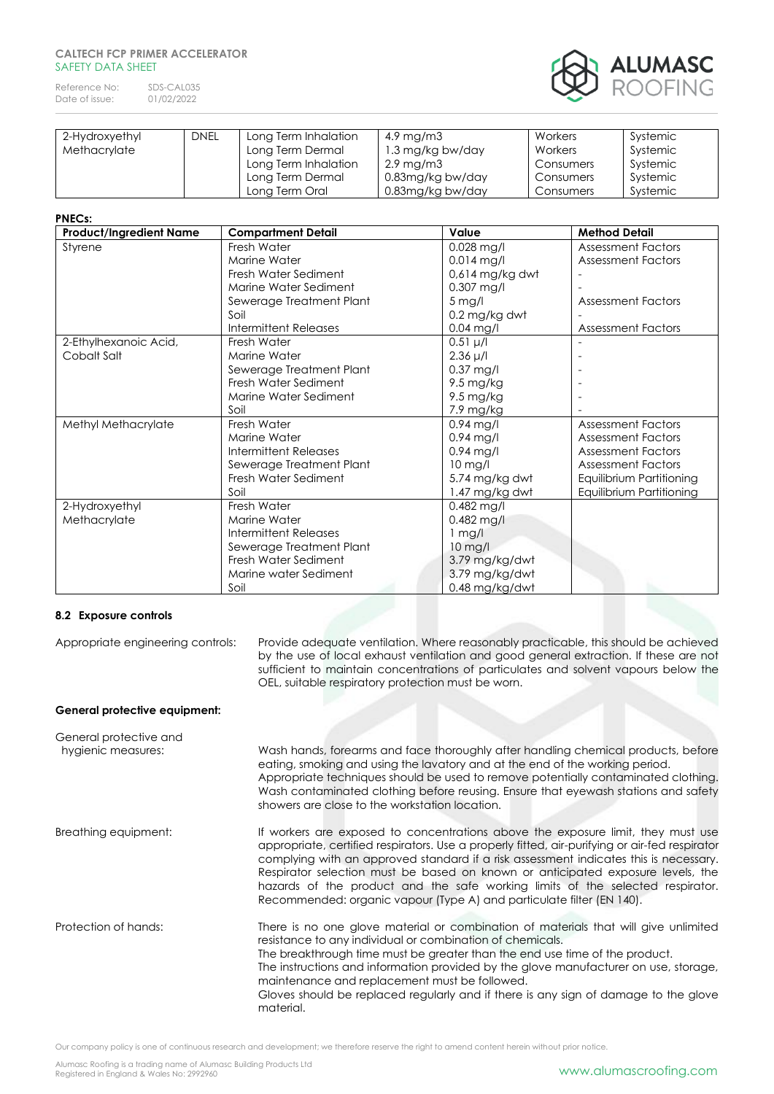#### **CALTECH FCP PRIMER ACCELERATOR**  SAFETY DATA SHEET

Reference No: SDS-CAL035<br>Date of issue: 01/02/2022 Date of issue:



| 2-Hydroxyethyl | <b>DNEL</b> | Long Term Inhalation | 4.9 mg/m3             | Workers   | Systemic |
|----------------|-------------|----------------------|-----------------------|-----------|----------|
| Methacrylate   |             | Long Term Dermal     | 1.3 mg/kg bw/day      | Workers   | Systemic |
|                |             | Long Term Inhalation | $2.9 \,\mathrm{mg/m}$ | Consumers | Systemic |
|                |             | Long Term Dermal     | 0.83mg/kg bw/day      | Consumers | Systemic |
|                |             | Long Term Oral       | 0.83mg/kg bw/day      | Consumers | Systemic |

#### **PNECs:**

| <b>Product/Ingredient Name</b> | <b>Compartment Detail</b>    | Value           | <b>Method Detail</b>      |
|--------------------------------|------------------------------|-----------------|---------------------------|
| Styrene                        | Fresh Water                  | 0.028 mg/l      | <b>Assessment Factors</b> |
|                                | Marine Water                 | $0.014$ mg/l    | <b>Assessment Factors</b> |
|                                | Fresh Water Sediment         | 0,614 mg/kg dwt |                           |
|                                | Marine Water Sediment        | $0.307$ mg/l    |                           |
|                                | Sewerage Treatment Plant     | $5$ mg/l        | <b>Assessment Factors</b> |
|                                | Soil                         | 0.2 mg/kg dwt   |                           |
|                                | <b>Intermittent Releases</b> | $0.04$ mg/l     | <b>Assessment Factors</b> |
| 2-Ethylhexanoic Acid,          | Fresh Water                  | $0.51 \mu/l$    |                           |
| Cobalt Salt                    | Marine Water                 | $2.36 \mu/l$    |                           |
|                                | Sewerage Treatment Plant     | $0.37$ mg/l     |                           |
|                                | Fresh Water Sediment         | 9.5 mg/kg       |                           |
|                                | Marine Water Sediment        | 9.5 mg/kg       |                           |
|                                | Soil                         | 7.9 mg/kg       |                           |
| Methyl Methacrylate            | Fresh Water                  | $0.94$ mg/l     | <b>Assessment Factors</b> |
|                                | Marine Water                 | $0.94$ mg/l     | <b>Assessment Factors</b> |
|                                | Intermittent Releases        | $0.94$ mg/l     | <b>Assessment Factors</b> |
|                                | Sewerage Treatment Plant     | $10$ mg/l       | <b>Assessment Factors</b> |
|                                | Fresh Water Sediment         | 5.74 mg/kg dwt  | Equilibrium Partitioning  |
|                                | Soil                         | 1.47 mg/kg dwt  | Equilibrium Partitioning  |
| 2-Hydroxyethyl                 | Fresh Water                  | $0.482$ mg/l    |                           |
| Methacrylate                   | Marine Water                 | 0.482 mg/l      |                           |
|                                | Intermittent Releases        | $1$ mg/l        |                           |
|                                | Sewerage Treatment Plant     | $10$ mg/l       |                           |
|                                | Fresh Water Sediment         | 3.79 mg/kg/dwt  |                           |
|                                | Marine water Sediment        | 3.79 mg/kg/dwt  |                           |
|                                | Soil                         | 0.48 mg/kg/dwt  |                           |

#### **8.2 Exposure controls**

Appropriate engineering controls: Provide adequate ventilation. Where reasonably practicable, this should be achieved by the use of local exhaust ventilation and good general extraction. If these are not sufficient to maintain concentrations of particulates and solvent vapours below the OEL, suitable respiratory protection must be worn.

#### **General protective equipment:**

| General protective and<br>hygienic measures: | Wash hands, forearms and face thoroughly after handling chemical products, before                                                                                                                                                                                                                                                                                                                                                                                                                                         |
|----------------------------------------------|---------------------------------------------------------------------------------------------------------------------------------------------------------------------------------------------------------------------------------------------------------------------------------------------------------------------------------------------------------------------------------------------------------------------------------------------------------------------------------------------------------------------------|
|                                              | eating, smoking and using the lavatory and at the end of the working period.<br>Appropriate techniques should be used to remove potentially contaminated clothing.<br>Wash contaminated clothing before reusing. Ensure that eyewash stations and safety<br>showers are close to the workstation location.                                                                                                                                                                                                                |
| Breathing equipment:                         | If workers are exposed to concentrations above the exposure limit, they must use<br>appropriate, certified respirators. Use a properly fitted, air-purifying or air-fed respirator<br>complying with an approved standard if a risk assessment indicates this is necessary.<br>Respirator selection must be based on known or anticipated exposure levels, the<br>hazards of the product and the safe working limits of the selected respirator.<br>Recommended: organic vapour (Type A) and particulate filter (EN 140). |
| Protection of hands:                         | There is no one glove material or combination of materials that will give unlimited<br>resistance to any individual or combination of chemicals.<br>The breakthrough time must be greater than the end use time of the product.                                                                                                                                                                                                                                                                                           |
|                                              | The instructions and information provided by the glove manufacturer on use, storage,<br>maintenance and replacement must be followed.<br>Gloves should be replaced regularly and if there is any sign of damage to the glove<br>material.                                                                                                                                                                                                                                                                                 |
|                                              |                                                                                                                                                                                                                                                                                                                                                                                                                                                                                                                           |
|                                              |                                                                                                                                                                                                                                                                                                                                                                                                                                                                                                                           |

Our company policy is one of continuous research and development; we therefore reserve the right to amend content herein without prior notice.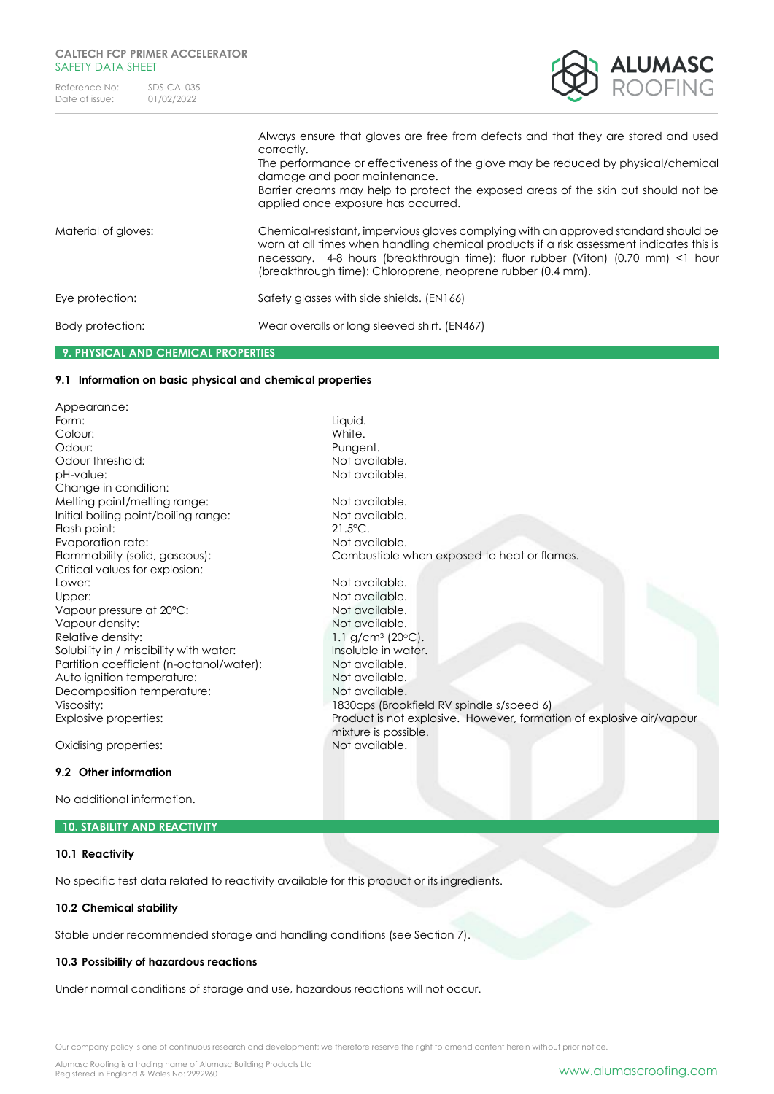

|                     | Always ensure that gloves are free from defects and that they are stored and used<br>correctly.<br>The performance or effectiveness of the glove may be reduced by physical/chemical<br>damage and poor maintenance.<br>Barrier creams may help to protect the exposed areas of the skin but should not be<br>applied once exposure has occurred. |
|---------------------|---------------------------------------------------------------------------------------------------------------------------------------------------------------------------------------------------------------------------------------------------------------------------------------------------------------------------------------------------|
| Material of gloves: | Chemical-resistant, impervious gloves complying with an approved standard should be<br>worn at all times when handling chemical products if a risk assessment indicates this is<br>necessary. 4-8 hours (breakthrough time): fluor rubber (Viton) (0.70 mm) <1 hour<br>(breakthrough time): Chloroprene, neoprene rubber (0.4 mm).                |
| Eye protection:     | Safety glasses with side shields. (EN166)                                                                                                                                                                                                                                                                                                         |
| Body protection:    | Wear overalls or long sleeved shirt. (EN467)                                                                                                                                                                                                                                                                                                      |
|                     |                                                                                                                                                                                                                                                                                                                                                   |

mixture is possible.<br>Not available.

### **9. PHYSICAL AND CHEMICAL PROPERTIES**

#### **9.1 Information on basic physical and chemical properties**

Appearance: Form: Liquid. Colour: White. Odour: Pungent.<br>
Odour threshold: example and the state of the pungent.<br>
Dot available. Odour threshold: pH-value: Not available. Change in condition: Melting point/melting range: Not available. Initial boiling point/boiling range: Not available. Flash point: 21.5°C. Evaporation rate: Not available. Flammability (solid, gaseous): Combustible when exposed to heat or flames. Critical values for explosion: Lower: Not available. Upper: Version of the Upper: Not available. Vapour pressure at 20°C: Not available. Vapour density: Not available. Relative density: 1.1 g/cm<sup>3</sup> (20°C).<br>Solubility in / miscibility with water: 1.1 Insoluble in water. Solubility in / miscibility with water: Insoluble in water.<br>Partition coefficient (n-octanol/water): Insoluble Not available. Partition coefficient (n-octanol/water): Auto ignition temperature: Not available. Decomposition temperature: Not available. Viscosity: 1830cps (Brookfield RV spindle s/speed 6) Explosive properties: Product is not explosive. However, formation of explosive air/vapour

Oxidising properties:

#### **9.2 Other information**

No additional information.

#### **10. STABILITY AND REACTIVITY**

#### **10.1 Reactivity**

No specific test data related to reactivity available for this product or its ingredients.

#### **10.2 Chemical stability**

Stable under recommended storage and handling conditions (see Section 7).

#### **10.3 Possibility of hazardous reactions**

Under normal conditions of storage and use, hazardous reactions will not occur.

Our company policy is one of continuous research and development; we therefore reserve the right to amend content herein without prior notice.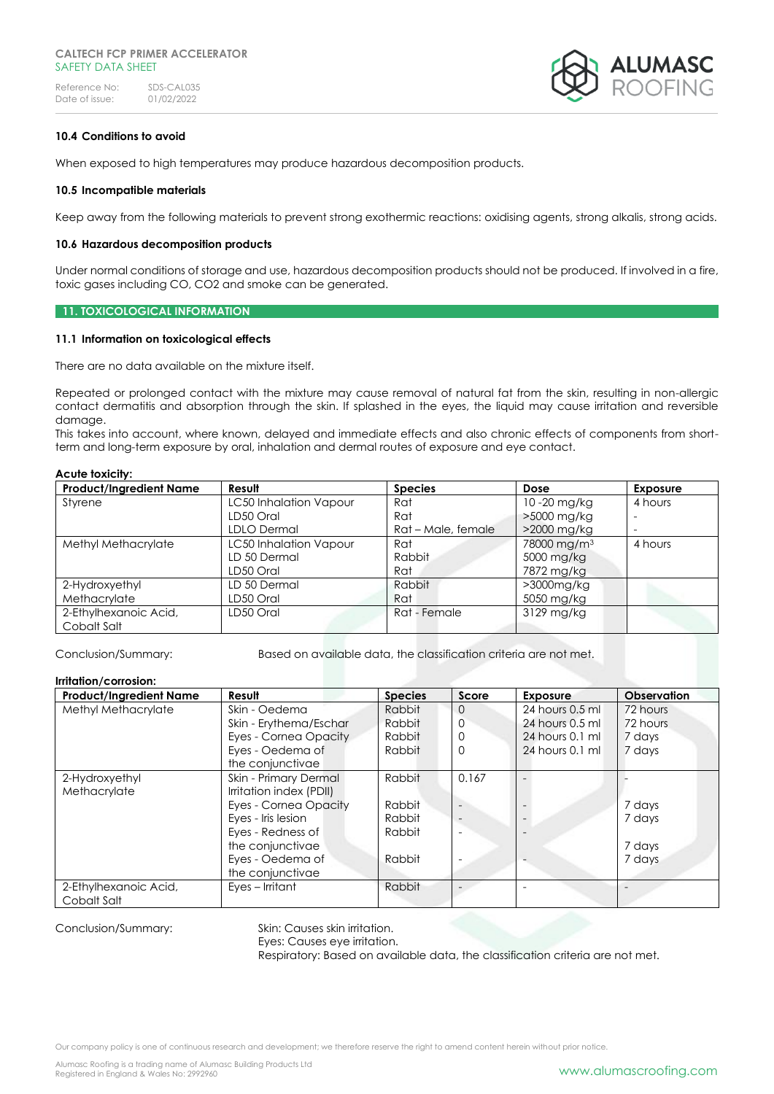

#### **10.4 Conditions to avoid**

When exposed to high temperatures may produce hazardous decomposition products.

#### **10.5 Incompatible materials**

Keep away from the following materials to prevent strong exothermic reactions: oxidising agents, strong alkalis, strong acids.

#### **10.6 Hazardous decomposition products**

Under normal conditions of storage and use, hazardous decomposition products should not be produced. If involved in a fire, toxic gases including CO, CO2 and smoke can be generated.

#### **11. TOXICOLOGICAL INFORMATION**

#### **11.1 Information on toxicological effects**

There are no data available on the mixture itself.

Repeated or prolonged contact with the mixture may cause removal of natural fat from the skin, resulting in non-allergic contact dermatitis and absorption through the skin. If splashed in the eyes, the liquid may cause irritation and reversible damage.

This takes into account, where known, delayed and immediate effects and also chronic effects of components from shortterm and long-term exposure by oral, inhalation and dermal routes of exposure and eye contact.

#### **Acute toxicity:**

| <b>Product/Ingredient Name</b> | Result                 | <b>Species</b>     | Dose                    | <b>Exposure</b>          |
|--------------------------------|------------------------|--------------------|-------------------------|--------------------------|
| Styrene                        | LC50 Inhalation Vapour | Rat                | 10-20 mg/kg             | 4 hours                  |
|                                | LD50 Oral              | Rat                | >5000 mg/kg             |                          |
|                                | LDLO Dermal            | Rat – Male, female | >2000 mg/kg             | $\overline{\phantom{a}}$ |
| Methyl Methacrylate            | LC50 Inhalation Vapour | Rat                | 78000 mg/m <sup>3</sup> | 4 hours                  |
|                                | LD 50 Dermal           | Rabbit             | 5000 mg/kg              |                          |
|                                | LD50 Oral              | Rat                | 7872 mg/kg              |                          |
| 2-Hydroxyethyl                 | LD 50 Dermal           | Rabbit             | >3000mg/kg              |                          |
| Methacrylate                   | LD50 Oral              | Rat                | 5050 mg/kg              |                          |
| 2-Ethylhexanoic Acid,          | LD50 Oral              | Rat - Female       | 3129 mg/kg              |                          |
| Cobalt Salt                    |                        |                    |                         |                          |

Conclusion/Summary: Based on available data, the classification criteria are not met.

#### **Irritation/corrosion:**

| <b>Product/Ingredient Name</b> | Result                  | <b>Species</b> | Score    | <b>Exposure</b>   | <b>Observation</b> |
|--------------------------------|-------------------------|----------------|----------|-------------------|--------------------|
| Methyl Methacrylate            | Skin - Oedema           | Rabbit         | $\Omega$ | 24 hours 0.5 ml   | 72 hours           |
|                                | Skin - Erythema/Eschar  | Rabbit         | $\Omega$ | 24 hours 0.5 ml   | 72 hours           |
|                                | Eyes - Cornea Opacity   | Rabbit         | 0        | 24 hours 0.1 ml   | 7 days             |
|                                | Eves - Oedema of        | Rabbit         | 0        | $24$ hours 0.1 ml | 7 days             |
|                                | the conjunctivae        |                |          |                   |                    |
| 2-Hydroxyethyl                 | Skin - Primary Dermal   | Rabbit         | 0.167    |                   |                    |
| Methacrylate                   | Irritation index (PDII) |                |          |                   |                    |
|                                | Eyes - Cornea Opacity   | Rabbit         |          |                   | 7 days             |
|                                | Eyes - Iris lesion      | Rabbit         |          |                   | 7 days             |
|                                | Eyes - Redness of       | Rabbit         |          |                   |                    |
|                                | the conjunctivae        |                |          |                   | 7 days             |
|                                | Eyes - Oedema of        | Rabbit         |          |                   | 7 days             |
|                                | the conjunctivae        |                |          |                   |                    |
| 2-Ethylhexanoic Acid,          | Eves – Irritant         | Rabbit         |          |                   |                    |
| Cobalt Salt                    |                         |                |          |                   |                    |

Conclusion/Summary: Skin: Causes skin irritation.

Eyes: Causes eye irritation.

Respiratory: Based on available data, the classification criteria are not met.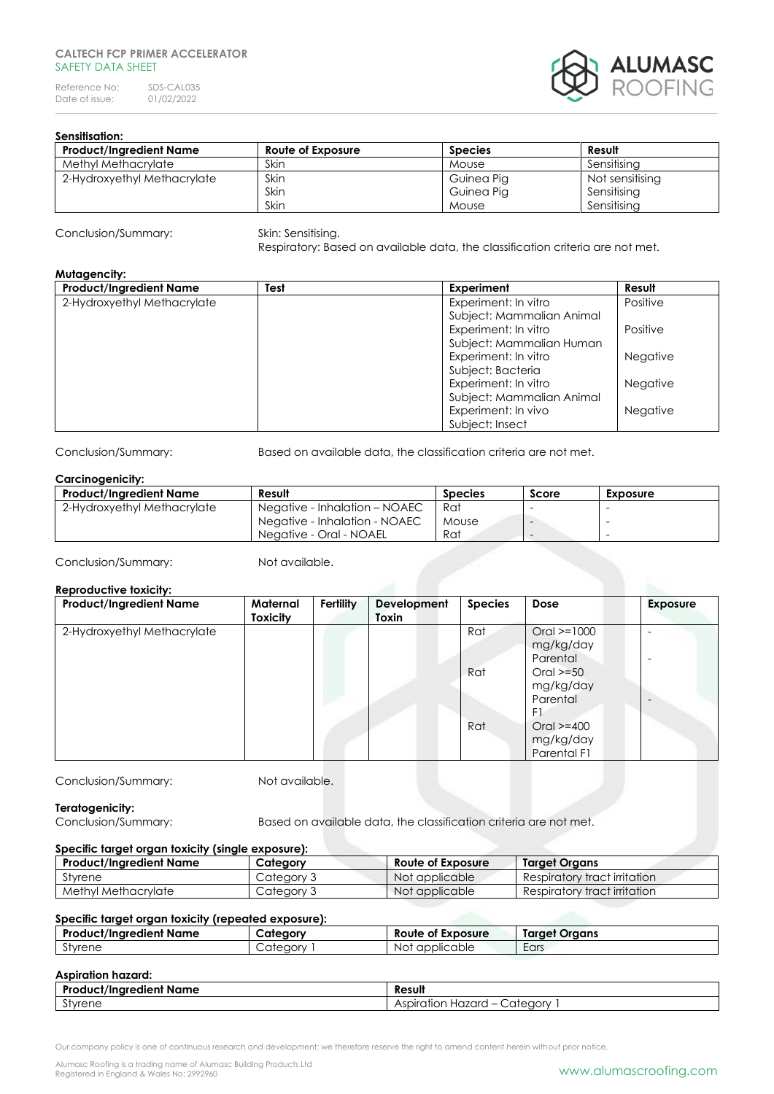#### **CALTECH FCP PRIMER ACCELERATOR**  SAFFTY DATA SHFFT

Reference No: SDS-CAL035<br>Date of issue: 01/02/2022 Date of issue:



#### **Sensitisation:**

| <b>Product/Ingredient Name</b> | Route of Exposure | <b>Species</b> | Result          |
|--------------------------------|-------------------|----------------|-----------------|
| Methyl Methacrylate            | Skin              | Mouse          | Sensitisina     |
| 2-Hydroxyethyl Methacrylate    | Skin              | Guinea Pig     | Not sensitising |
|                                | Skin              | Guinea Pig     | Sensitising     |
|                                | Skin              | Mouse          | Sensitisina     |

Conclusion/Summary: Skin: Sensitising.

Respiratory: Based on available data, the classification criteria are not met.

#### **Mutagencity:**

| <b>Product/Ingredient Name</b> | Test | Experiment                | Result          |
|--------------------------------|------|---------------------------|-----------------|
| 2-Hydroxyethyl Methacrylate    |      | Experiment: In vitro      | Positive        |
|                                |      | Subject: Mammalian Animal |                 |
|                                |      | Experiment: In vitro      | Positive        |
|                                |      | Subject: Mammalian Human  |                 |
|                                |      | Experiment: In vitro      | <b>Negative</b> |
|                                |      | Subject: Bacteria         |                 |
|                                |      | Experiment: In vitro      | <b>Negative</b> |
|                                |      | Subject: Mammalian Animal |                 |
|                                |      | Experiment: In vivo       | <b>Negative</b> |
|                                |      | Subject: Insect           |                 |

Conclusion/Summary: Based on available data, the classification criteria are not met.

#### **Carcinogenicity:**

| <b>Product/Ingredient Name</b> | Result                        | <b>Species</b> | Score                    | <b>Exposure</b> |
|--------------------------------|-------------------------------|----------------|--------------------------|-----------------|
| 2-Hydroxyethyl Methacrylate    | Negative - Inhalation – NOAEC | Rat            |                          |                 |
|                                | Negative - Inhalation - NOAEC | Mouse          | $\overline{\phantom{a}}$ |                 |
|                                | Neaative - Oral - NOAEL       | Rat            | $\overline{\phantom{a}}$ |                 |

Conclusion/Summary: Not available.

#### **Reproductive toxicity:**

| <b>Product/Ingredient Name</b> | Maternal<br>Toxicity | <b>Fertility</b> | Development<br>Toxin | <b>Species</b> | Dose           | <b>Exposure</b> |
|--------------------------------|----------------------|------------------|----------------------|----------------|----------------|-----------------|
| 2-Hydroxyethyl Methacrylate    |                      |                  |                      | Rat            | $Oral = 1000$  |                 |
|                                |                      |                  |                      |                | mg/kg/day      |                 |
|                                |                      |                  |                      |                | Parental       |                 |
|                                |                      |                  |                      | Rat            | $Oral > = 50$  |                 |
|                                |                      |                  |                      |                | mg/kg/day      |                 |
|                                |                      |                  |                      |                | Parental       |                 |
|                                |                      |                  |                      |                | F1             |                 |
|                                |                      |                  |                      | Rat            | $Oral > = 400$ |                 |
|                                |                      |                  |                      |                | mg/kg/day      |                 |
|                                |                      |                  |                      |                | Parental F1    |                 |

Conclusion/Summary: Not available.

#### **Teratogenicity:**

Conclusion/Summary: Based on available data, the classification criteria are not met.

#### **Specific target organ toxicity (single exposure):**

| <b>Product/Ingredient Name</b> | Category   | Route of Exposure | Target Organs                |
|--------------------------------|------------|-------------------|------------------------------|
| Styrene                        | Category 3 | Not applicable    | Respiratory tract irritation |
| Methyl Methacrylate            | Category 3 | Not applicable    | Respiratory tract irritation |

#### **Specific target organ toxicity (repeated exposure):**

| Product/Inaredient Name  | cateaorv                           | Route of Exposure | Taraet Oraans |
|--------------------------|------------------------------------|-------------------|---------------|
| $\sim$<br><b>Styrene</b> | $\sim$<br>$\lambda$<br>1999)<br>◡◡ | applicable<br>Not | Ears          |

### **Aspiration hazard:**

| $\bullet$<br>D.,<br>lient Name<br>*^*/!^^*^^<br>.aie<br><b>JCT/Ingre</b> | <br>Result                                                                                                                  |
|--------------------------------------------------------------------------|-----------------------------------------------------------------------------------------------------------------------------|
| $\sim$<br>`tvrene                                                        | <br>102705<br>oiration<br>:ateaorv<br>$\sim$ $\sim$<br>$\overline{\phantom{0}}$<br><b>IUZUI</b><br>سا ق<br>----<br>.<br>. . |

Our company policy is one of continuous research and development; we therefore reserve the right to amend content herein without prior notice.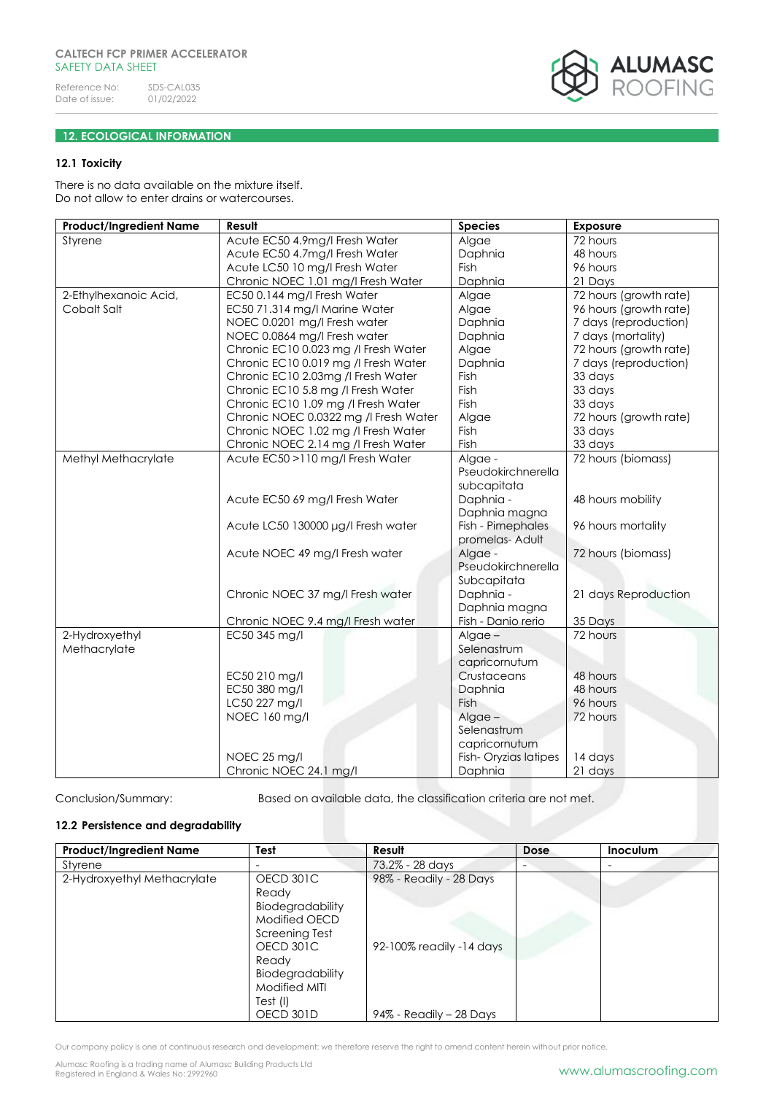# ALUMASC<br>Roofing

#### **12. ECOLOGICAL INFORMATION**

#### **12.1 Toxicity**

There is no data available on the mixture itself. Do not allow to enter drains or watercourses.

| <b>Product/Ingredient Name</b> | Result                                | <b>Species</b>       | <b>Exposure</b>        |
|--------------------------------|---------------------------------------|----------------------|------------------------|
| Styrene                        | Acute EC50 4.9mg/l Fresh Water        | Algae                | 72 hours               |
|                                | Acute EC50 4.7mg/l Fresh Water        | Daphnia              | 48 hours               |
|                                | Acute LC50 10 mg/l Fresh Water        | Fish                 | 96 hours               |
|                                | Chronic NOEC 1.01 mg/l Fresh Water    | Daphnia              | 21 Days                |
| 2-Ethylhexanoic Acid,          | EC50 0.144 mg/l Fresh Water           | Algae                | 72 hours (growth rate) |
| Cobalt Salt                    | EC50 71.314 mg/l Marine Water         | Algae                | 96 hours (growth rate) |
|                                | NOEC 0.0201 mg/l Fresh water          | Daphnia              | 7 days (reproduction)  |
|                                | NOEC 0.0864 mg/l Fresh water          | Daphnia              | 7 days (mortality)     |
|                                | Chronic EC10 0.023 mg /l Fresh Water  | Algae                | 72 hours (growth rate) |
|                                | Chronic EC10 0.019 mg /l Fresh Water  | Daphnia              | 7 days (reproduction)  |
|                                | Chronic EC10 2.03mg /I Fresh Water    | Fish                 | 33 days                |
|                                | Chronic EC10 5.8 mg /l Fresh Water    | Fish                 | 33 days                |
|                                | Chronic EC10 1.09 mg /l Fresh Water   | Fish                 | 33 days                |
|                                | Chronic NOEC 0.0322 mg /l Fresh Water | Algae                | 72 hours (growth rate) |
|                                | Chronic NOEC 1.02 mg /l Fresh Water   | Fish                 | 33 days                |
|                                | Chronic NOEC 2.14 mg /l Fresh Water   | Fish                 | 33 days                |
| Methyl Methacrylate            | Acute EC50 >110 mg/l Fresh Water      | Algae -              | 72 hours (biomass)     |
|                                |                                       | Pseudokirchnerella   |                        |
|                                |                                       | subcapitata          |                        |
|                                | Acute EC50 69 mg/l Fresh Water        | Daphnia -            | 48 hours mobility      |
|                                |                                       | Daphnia magna        |                        |
|                                | Acute LC50 130000 µg/l Fresh water    | Fish - Pimephales    | 96 hours mortality     |
|                                |                                       | promelas- Adult      |                        |
|                                | Acute NOEC 49 mg/l Fresh water        | Algae -              | 72 hours (biomass)     |
|                                |                                       | Pseudokirchnerella   |                        |
|                                |                                       | Subcapitata          |                        |
|                                | Chronic NOEC 37 mg/l Fresh water      | Daphnia -            | 21 days Reproduction   |
|                                |                                       | Daphnia magna        |                        |
|                                | Chronic NOEC 9.4 mg/l Fresh water     | Fish - Danio rerio   | 35 Days                |
| 2-Hydroxyethyl                 | EC50 345 mg/l                         | $Algae -$            | 72 hours               |
| Methacrylate                   |                                       | Selenastrum          |                        |
|                                |                                       | capricornutum        |                        |
|                                | EC50 210 mg/l                         | Crustaceans          | 48 hours               |
|                                | EC50 380 mg/l                         | Daphnia              | 48 hours               |
|                                | LC50 227 mg/l                         | <b>Fish</b>          | 96 hours               |
|                                | NOEC 160 mg/l                         | $Alqae -$            | 72 hours               |
|                                |                                       | Selenastrum          |                        |
|                                |                                       | capricornutum        |                        |
|                                | NOEC 25 mg/l                          | Fish-Oryzias latipes | 14 days                |
|                                | Chronic NOEC 24.1 mg/l                | Daphnia              | 21 days                |

Conclusion/Summary: Based on available data, the classification criteria are not met.

#### **12.2 Persistence and degradability**

| <b>Product/Ingredient Name</b> | Test             | Result                   | Dose | Inoculum |
|--------------------------------|------------------|--------------------------|------|----------|
| Styrene                        |                  | 73.2% - 28 days          |      | -        |
| 2-Hydroxyethyl Methacrylate    | OECD 301C        | 98% - Readily - 28 Days  |      |          |
|                                | Ready            |                          |      |          |
|                                | Biodegradability |                          |      |          |
|                                | Modified OECD    |                          |      |          |
|                                | Screening Test   |                          |      |          |
|                                | OECD 301C        | 92-100% readily -14 days |      |          |
|                                | Ready            |                          |      |          |
|                                | Biodegradability |                          |      |          |
|                                | Modified MITI    |                          |      |          |
|                                | Test (I)         |                          |      |          |
|                                | OECD 301D        | 94% - Readily - 28 Days  |      |          |

Our company policy is one of continuous research and development; we therefore reserve the right to amend content herein without prior notice.

Alumasc Roofing is a trading name of Alumasc Building Products Ltd<br>Registered in England & Wales No: 2992960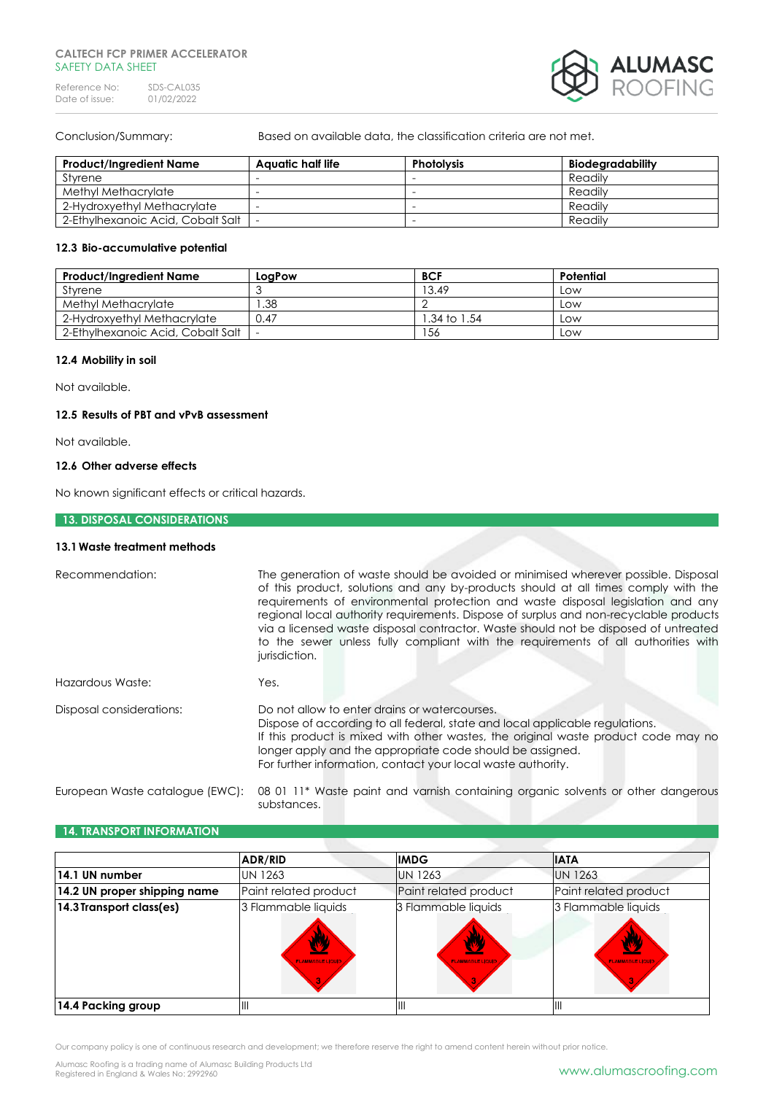

Conclusion/Summary: Based on available data, the classification criteria are not met.

| <b>Product/Ingredient Name</b>    | Aauatic half life | <b>Photolysis</b>        | Biodegradability |
|-----------------------------------|-------------------|--------------------------|------------------|
| Styrene                           |                   | -                        | Readily          |
| Methyl Methacrylate               |                   | $\overline{\phantom{a}}$ | Readily          |
| 2-Hydroxyethyl Methacrylate       |                   | $\overline{\phantom{a}}$ | Readily          |
| 2-Ethylhexanoic Acid, Cobalt Salt |                   | $\overline{\phantom{a}}$ | Readily          |

#### **12.3 Bio-accumulative potential**

| <b>Product/Ingredient Name</b>    | LogPow | <b>BCF</b>   | Potential |
|-----------------------------------|--------|--------------|-----------|
| Styrene                           |        | 13.49        | LOW       |
| Methyl Methacrylate               | .38    |              | LOW       |
| 2-Hydroxyethyl Methacrylate       | 0.47   | l.34 to 1.54 | LOW       |
| 2-Ethylhexanoic Acid, Cobalt Salt |        | 156          | LOW       |

#### **12.4 Mobility in soil**

Not available.

#### **12.5 Results of PBT and vPvB assessment**

Not available.

#### **12.6 Other adverse effects**

No known significant effects or critical hazards.

#### **13. DISPOSAL CONSIDERATIONS**

#### **13.1Waste treatment methods**

| Recommendation:                 | The generation of waste should be avoided or minimised wherever possible. Disposal<br>of this product, solutions and any by-products should at all times comply with the<br>requirements of environmental protection and waste disposal legislation and any<br>regional local authority requirements. Dispose of surplus and non-recyclable products<br>via a licensed waste disposal contractor. Waste should not be disposed of untreated<br>to the sewer unless fully compliant with the requirements of all authorities with<br>jurisdiction. |  |
|---------------------------------|---------------------------------------------------------------------------------------------------------------------------------------------------------------------------------------------------------------------------------------------------------------------------------------------------------------------------------------------------------------------------------------------------------------------------------------------------------------------------------------------------------------------------------------------------|--|
| Hazardous Waste:                | Yes.                                                                                                                                                                                                                                                                                                                                                                                                                                                                                                                                              |  |
| Disposal considerations:        | Do not allow to enter drains or watercourses.<br>Dispose of according to all federal, state and local applicable regulations.<br>If this product is mixed with other wastes, the original waste product code may no<br>longer apply and the appropriate code should be assigned.<br>For further information, contact your local waste authority.                                                                                                                                                                                                  |  |
| European Waste catalogue (EWC): | 08 01 11* Waste paint and varnish containing organic solvents or other dangerous<br>substances.                                                                                                                                                                                                                                                                                                                                                                                                                                                   |  |

#### **14. TRANSPORT INFORMATION**

|                              | <b>ADR/RID</b>                                 | <b>IMDG</b>                                   | <b>IATA</b>                                  |
|------------------------------|------------------------------------------------|-----------------------------------------------|----------------------------------------------|
| 14.1 UN number               | <b>UN 1263</b>                                 | <b>UN 1263</b>                                | <b>UN 1263</b>                               |
| 14.2 UN proper shipping name | Paint related product                          | Paint related product                         | Paint related product                        |
| 14.3 Transport class(es)     | 3 Flammable liquids<br><b>FLAMMABLE LIQUII</b> | 3 Flammable liquids<br><b>FLAMMABLE LIQUI</b> | 3 Flammable liquids<br><b>FLAMMABLE LIQU</b> |
| 14.4 Packing group           |                                                |                                               | Ш                                            |

Our company policy is one of continuous research and development; we therefore reserve the right to amend content herein without prior notice.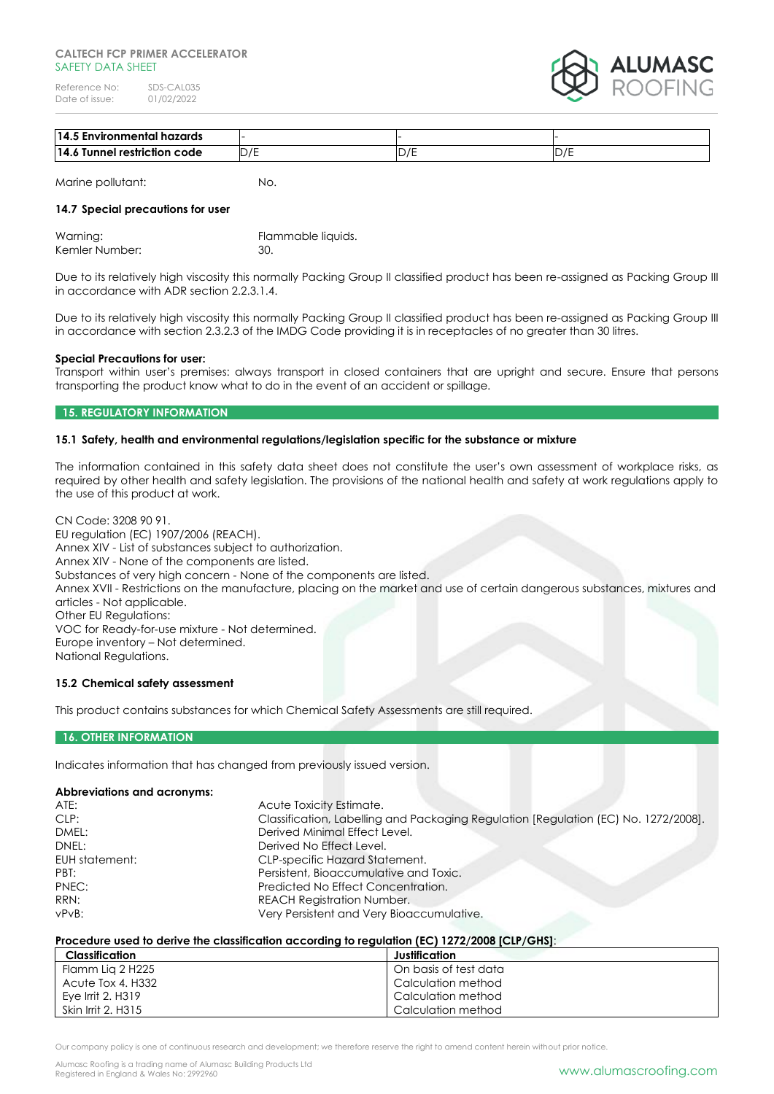

| i Environmental hazards<br>14.1 |                                           |                                 |         |
|---------------------------------|-------------------------------------------|---------------------------------|---------|
| 14<br>Tunnel restriction code   | $\overline{\phantom{0}}$<br>◡<br><u>_</u> | $\overline{ }$<br>◡<br><u>_</u> | – ∠ / – |

Marine pollutant: No.

### **14.7 Special precautions for user**

| Warning:       | Flammable liquids. |
|----------------|--------------------|
| Kemler Number: | 30.                |

Due to its relatively high viscosity this normally Packing Group II classified product has been re-assigned as Packing Group III in accordance with ADR section 2.2.3.1.4.

Due to its relatively high viscosity this normally Packing Group II classified product has been re-assigned as Packing Group III in accordance with section 2.3.2.3 of the IMDG Code providing it is in receptacles of no greater than 30 litres.

#### **Special Precautions for user:**

Transport within user's premises: always transport in closed containers that are upright and secure. Ensure that persons transporting the product know what to do in the event of an accident or spillage.

#### **15. REGULATORY INFORMATION**

#### **15.1 Safety, health and environmental regulations/legislation specific for the substance or mixture**

The information contained in this safety data sheet does not constitute the user's own assessment of workplace risks, as required by other health and safety legislation. The provisions of the national health and safety at work regulations apply to the use of this product at work.

CN Code: 3208 90 91. EU regulation (EC) 1907/2006 (REACH). Annex XIV - List of substances subject to authorization. Annex XIV - None of the components are listed. Substances of very high concern - None of the components are listed. Annex XVII - Restrictions on the manufacture, placing on the market and use of certain dangerous substances, mixtures and articles - Not applicable. Other EU Regulations: VOC for Ready-for-use mixture - Not determined. Europe inventory – Not determined. National Regulations.

#### **15.2 Chemical safety assessment**

This product contains substances for which Chemical Safety Assessments are still required.

#### **16. OTHER INFORMATION**

Indicates information that has changed from previously issued version.

#### **Abbreviations and acronyms:**

| ATE:           | Acute Toxicity Estimate.                                                            |
|----------------|-------------------------------------------------------------------------------------|
| CLP:           | Classification, Labelling and Packaging Regulation [Regulation (EC) No. 1272/2008]. |
| DMEL:          | Derived Minimal Effect Level.                                                       |
| DNEL:          | Derived No Effect Level.                                                            |
| EUH statement: | <b>CLP-specific Hazard Statement.</b>                                               |
| PBT:           | Persistent, Bioaccumulative and Toxic.                                              |
| PNEC:          | Predicted No Effect Concentration.                                                  |
| RRN:           | <b>REACH Registration Number.</b>                                                   |
| vPvB:          | Very Persistent and Very Bioaccumulative.                                           |

#### **Procedure used to derive the classification according to regulation (EC) 1272/2008 [CLP/GHS]**:

| Classification     | Justification         |
|--------------------|-----------------------|
| Flamm Lig 2 H225   | On basis of test data |
| Acute Tox 4, H332  | Calculation method    |
| Eve Irrit 2, H319  | Calculation method    |
| Skin Irrit 2, H315 | Calculation method    |